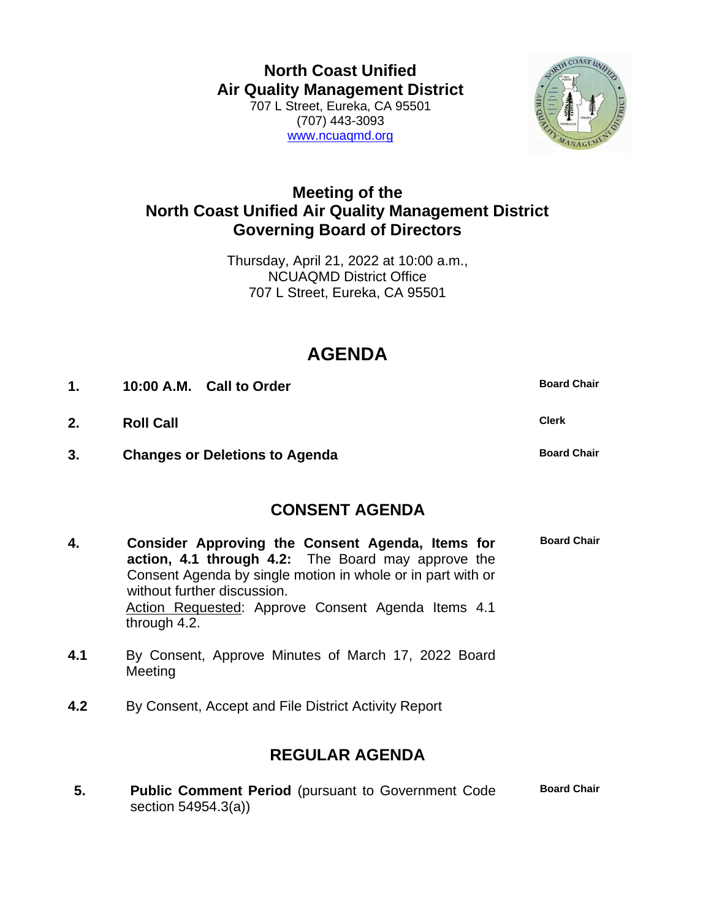**North Coast Unified Air Quality Management District** 707 L Street, Eureka, CA 95501 (707) 443-3093 [www.ncuaqmd.org](http://www.ncuaqmd.org/)



## **Meeting of the North Coast Unified Air Quality Management District Governing Board of Directors**

Thursday, April 21, 2022 at 10:00 a.m., NCUAQMD District Office 707 L Street, Eureka, CA 95501

## **AGENDA**

| $\mathbf{1}$ . | 10:00 A.M. Call to Order              | <b>Board Chair</b> |
|----------------|---------------------------------------|--------------------|
| 2.             | <b>Roll Call</b>                      | <b>Clerk</b>       |
| 3.             | <b>Changes or Deletions to Agenda</b> | <b>Board Chair</b> |

## **CONSENT AGENDA**

| 4. | Consider Approving the Consent Agenda, Items for<br>action, 4.1 through 4.2: The Board may approve the | <b>Board Chair</b> |
|----|--------------------------------------------------------------------------------------------------------|--------------------|
|    | Consent Agenda by single motion in whole or in part with or<br>without further discussion.             |                    |
|    | Action Requested: Approve Consent Agenda Items 4.1<br>through 4.2.                                     |                    |

- **4.1** By Consent, Approve Minutes of March 17, 2022 Board Meeting
- **4.2** By Consent, Accept and File District Activity Report

## **REGULAR AGENDA**

**5. Public Comment Period** (pursuant to Government Code section 54954.3(a)) **Board Chair**